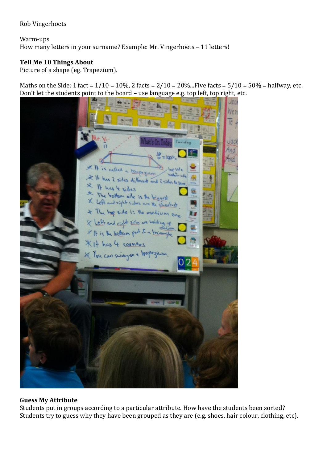Rob Vingerhoets

Warm-ups How many letters in your surname? Example: Mr. Vingerhoets – 11 letters!

## **Tell Me 10 Things About**

Picture of a shape (eg. Trapezium).

Maths on the Side: 1 fact =  $1/10 = 10\%$ , 2 facts =  $2/10 = 20\%$ ... Five facts =  $5/10 = 50\%$  = halfway, etc. Don't let the students point to the board – use language e.g. top left, top right, etc.



## **Guess My Attribute**

Students put in groups according to a particular attribute. How have the students been sorted? Students try to guess why they have been grouped as they are (e.g. shoes, hair colour, clothing, etc).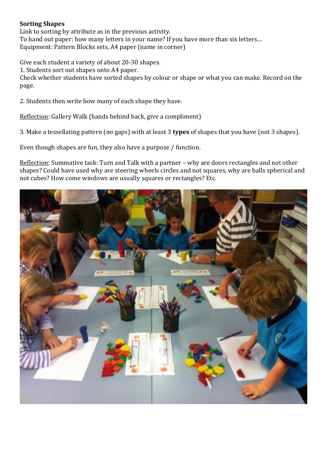## **Sorting Shapes**

Link to sorting by attribute as in the previous activity. To hand out paper: how many letters in your name? If you have more than six letters… Equipment: Pattern Blocks sets, A4 paper (name in corner)

Give each student a variety of about 20-30 shapes.

1. Students sort out shapes onto A4 paper.

Check whether students have sorted shapes by colour or shape or what you can make. Record on the page.

2. Students then write how many of each shape they have.

Reflection: Gallery Walk (hands behind back, give a compliment)

3. Make a tessellating pattern (no gaps) with at least 3 **types** of shapes that you have (not 3 shapes).

Even though shapes are fun, they also have a purpose / function.

Reflection: Summative task: Turn and Talk with a partner – why are doors rectangles and not other shapes? Could have used why are steering wheels circles and not squares, why are balls spherical and not cubes? How come windows are usually squares or rectangles? Etc.